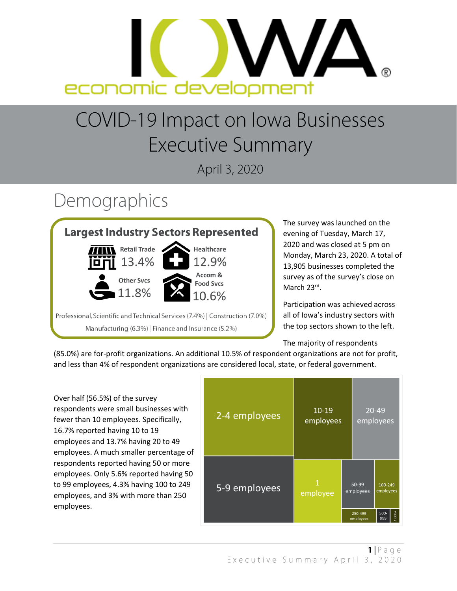

# COVID-19 Impact on Iowa Businesses **Executive Summary**

April 3, 2020

## Demographics



The survey was launched on the evening of Tuesday, March 17, 2020 and was closed at 5 pm on Monday, March 23, 2020. A total of 13,905 businesses completed the survey as of the survey's close on March 23rd.

Participation was achieved across all of Iowa's industry sectors with the top sectors shown to the left.

The majority of respondents

(85.0%) are for-profit organizations. An additional 10.5% of respondent organizations are not for profit, and less than 4% of respondent organizations are considered local, state, or federal government.

Over half (56.5%) of the survey respondents were small businesses with fewer than 10 employees. Specifically, 16.7% reported having 10 to 19 employees and 13.7% having 20 to 49 employees. A much smaller percentage of respondents reported having 50 or more employees. Only 5.6% reported having 50 to 99 employees, 4.3% having 100 to 249 employees, and 3% with more than 250 employees.

| 2-4 employees | $10-19$<br>employees |                                            | 20-49<br>employees |                                                 |  |
|---------------|----------------------|--------------------------------------------|--------------------|-------------------------------------------------|--|
| 5-9 employees | employee             | 50-99<br>employees<br>250-499<br>employees |                    | 100-249<br>employees<br>$1,000+$<br>500-<br>999 |  |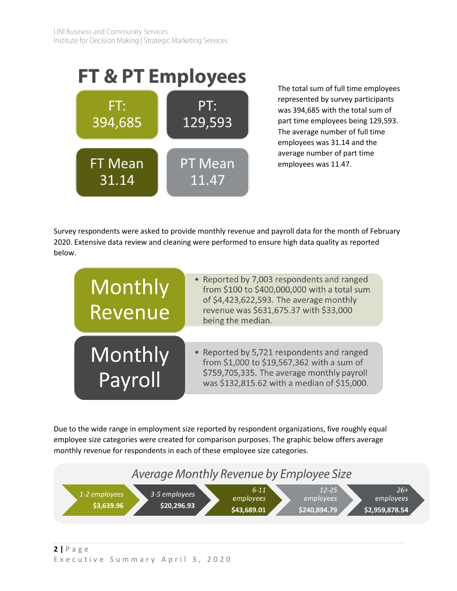#### **FT & PT Employees**



The total sum of full time employees represented by survey participants was 394,685 with the total sum of part time employees being 129,593. The average number of full time employees was 31.14 and the average number of part time employees was 11.47.

Survey respondents were asked to provide monthly revenue and payroll data for the month of February 2020. Extensive data review and cleaning were performed to ensure high data quality as reported below.



Due to the wide range in employment size reported by respondent organizations, five roughly equal employee size categories were created for comparison purposes. The graphic below offers average monthly revenue for respondents in each of these employee size categories.

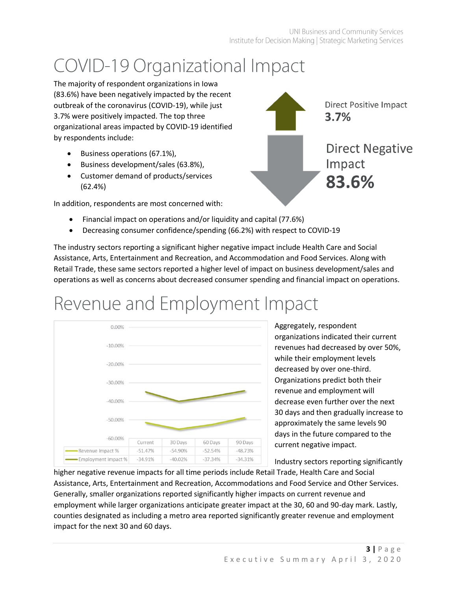**Direct Positive Impact** 

**Direct Negative** 

 $3.7%$ 

Impact

83.6%

## COVID-19 Organizational Impact

The majority of respondent organizations in Iowa (83.6%) have been negatively impacted by the recent outbreak of the coronavirus (COVID-19), while just 3.7% were positively impacted. The top three organizational areas impacted by COVID-19 identified by respondents include:

- Business operations (67.1%),
- Business development/sales (63.8%),
- Customer demand of products/services (62.4%)

In addition, respondents are most concerned with:

- Financial impact on operations and/or liquidity and capital (77.6%)
- Decreasing consumer confidence/spending (66.2%) with respect to COVID-19

The industry sectors reporting a significant higher negative impact include Health Care and Social Assistance, Arts, Entertainment and Recreation, and Accommodation and Food Services. Along with Retail Trade, these same sectors reported a higher level of impact on business development/sales and operations as well as concerns about decreased consumer spending and financial impact on operations.

## Revenue and Employment Impact



Aggregately, respondent organizations indicated their current revenues had decreased by over 50%, while their employment levels decreased by over one-third. Organizations predict both their revenue and employment will decrease even further over the next 30 days and then gradually increase to approximately the same levels 90 days in the future compared to the current negative impact.

Industry sectors reporting significantly

higher negative revenue impacts for all time periods include Retail Trade, Health Care and Social Assistance, Arts, Entertainment and Recreation, Accommodations and Food Service and Other Services. Generally, smaller organizations reported significantly higher impacts on current revenue and employment while larger organizations anticipate greater impact at the 30, 60 and 90-day mark. Lastly, counties designated as including a metro area reported significantly greater revenue and employment impact for the next 30 and 60 days.